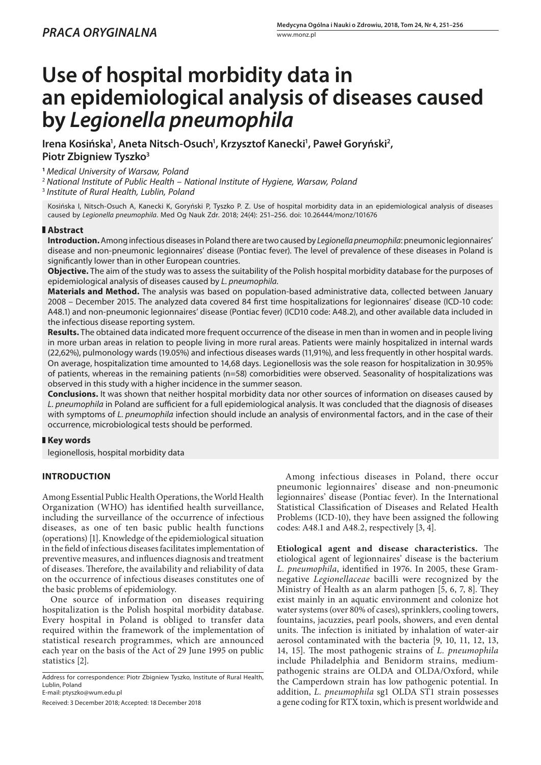# **Use of hospital morbidity data in an epidemiological analysis of diseases caused by** *Legionella pneumophila*

Irena Kosińska<sup>1</sup>, Aneta Nitsch-Osuch<sup>1</sup>, Krzysztof Kanecki<sup>1</sup>, Paweł Goryński<sup>2</sup>, **Piotr Zbigniew Tyszko3**

**<sup>1</sup>** *Medical University of Warsaw, Poland*

<sup>2</sup> *National Institute of Public Health – National Institute of Hygiene, Warsaw, Poland*

<sup>3</sup> *Institute of Rural Health, Lublin, Poland*

Kosińska I, Nitsch-Osuch A, Kanecki K, Goryński P, Tyszko P. Z. Use of hospital morbidity data in an epidemiological analysis of diseases caused by *Legionella pneumophila*. Med Og Nauk Zdr. 2018; 24(4): 251–256. doi: 10.26444/monz/101676

## **Abstract**

**Introduction.** Among infectious diseases in Poland there are two caused by *Legionella pneumophila*: pneumonic legionnaires' disease and non-pneumonic legionnaires' disease (Pontiac fever). The level of prevalence of these diseases in Poland is significantly lower than in other European countries.

**Objective.** The aim of the study was to assess the suitability of the Polish hospital morbidity database for the purposes of epidemiological analysis of diseases caused by *L. pneumophila.*

**Materials and Method.** The analysis was based on population-based administrative data, collected between January 2008 – December 2015. The analyzed data covered 84 first time hospitalizations for legionnaires' disease (ICD-10 code: A48.1) and non-pneumonic legionnaires' disease (Pontiac fever) (ICD10 code: A48.2), and other available data included in the infectious disease reporting system.

**Results.** The obtained data indicated more frequent occurrence of the disease in men than in women and in people living in more urban areas in relation to people living in more rural areas. Patients were mainly hospitalized in internal wards (22,62%), pulmonology wards (19.05%) and infectious diseases wards (11,91%), and less frequently in other hospital wards. On average, hospitalization time amounted to 14,68 days. Legionellosis was the sole reason for hospitalization in 30.95% of patients, whereas in the remaining patients (n=58) comorbidities were observed. Seasonality of hospitalizations was observed in this study with a higher incidence in the summer season.

**Conclusions.** It was shown that neither hospital morbidity data nor other sources of information on diseases caused by *L. pneumophila* in Poland are sufficient for a full epidemiological analysis. It was concluded that the diagnosis of diseases with symptoms of *L. pneumophila* infection should include an analysis of environmental factors, and in the case of their occurrence, microbiological tests should be performed.

# **Key words**

legionellosis, hospital morbidity data

# **INTRODUCTION**

Among Essential Public Health Operations, the World Health Organization (WHO) has identified health surveillance, including the surveillance of the occurrence of infectious diseases, as one of ten basic public health functions (operations) [1]. Knowledge of the epidemiological situation in the field of infectious diseases facilitates implementation of preventive measures, and influences diagnosis and treatment of diseases. Therefore, the availability and reliability of data on the occurrence of infectious diseases constitutes one of the basic problems of epidemiology.

One source of information on diseases requiring hospitalization is the Polish hospital morbidity database. Every hospital in Poland is obliged to transfer data required within the framework of the implementation of statistical research programmes, which are announced each year on the basis of the Act of 29 June 1995 on public statistics [2].

Address for correspondence: Piotr Zbigniew Tyszko, Institute of Rural Health, Lublin, Poland E-mail: [ptyszko@wum.edu.pl](mailto:ptyszko@wum.edu.pl)

Received: 3 December 2018; Accepted: 18 December 2018

Among infectious diseases in Poland, there occur pneumonic legionnaires' disease and non-pneumonic legionnaires' disease (Pontiac fever). In the International Statistical Classification of Diseases and Related Health Problems (ICD-10), they have been assigned the following codes: A48.1 and A48.2, respectively [3, 4].

**Etiological agent and disease characteristics.** The etiological agent of legionnaires' disease is the bacterium *L. pneumophila*, identified in 1976. In 2005, these Gramnegative *Legionellaceae* bacilli were recognized by the Ministry of Health as an alarm pathogen [5, 6, 7, 8]. They exist mainly in an aquatic environment and colonize hot water systems (over 80% of cases), sprinklers, cooling towers, fountains, jacuzzies, pearl pools, showers, and even dental units. The infection is initiated by inhalation of water-air aerosol contaminated with the bacteria [9, 10, 11, 12, 13, 14, 15]. The most pathogenic strains of *L. pneumophila* include Philadelphia and Benidorm strains, mediumpathogenic strains are OLDA and OLDA/Oxford, while the Camperdown strain has low pathogenic potential. In addition, *L. pneumophila* sg1 OLDA ST1 strain possesses a gene coding for RTX toxin, which is present worldwide and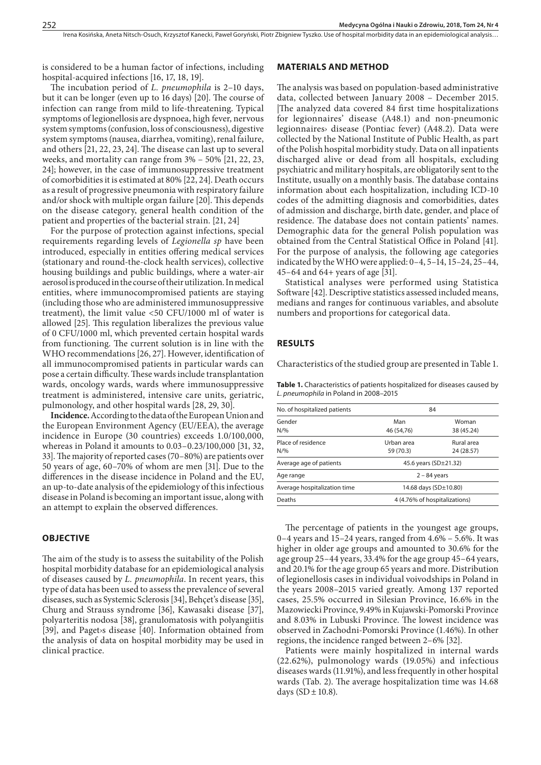is considered to be a human factor of infections, including hospital-acquired infections [16, 17, 18, 19].

The incubation period of *L. pneumophila* is 2–10 days, but it can be longer (even up to 16 days) [20]. The course of infection can range from mild to life-threatening. Typical symptoms of legionellosis are dyspnoea, high fever, nervous system symptoms (confusion, loss of consciousness), digestive system symptoms (nausea, diarrhea, vomiting), renal failure, and others [21, 22, 23, 24]. The disease can last up to several weeks, and mortality can range from 3% – 50% [21, 22, 23, 24]; however, in the case of immunosuppressive treatment of comorbidities it is estimated at 80% [22, 24]. Death occurs as a result of progressive pneumonia with respiratory failure and/or shock with multiple organ failure [20]. This depends on the disease category, general health condition of the patient and properties of the bacterial strain. [21, 24]

For the purpose of protection against infections, special requirements regarding levels of *Legionella sp* have been introduced, especially in entities offering medical services (stationary and round-the-clock health services), collective housing buildings and public buildings, where a water-air aerosol is produced in the course of their utilization. In medical entities, where immunocompromised patients are staying (including those who are administered immunosuppressive treatment), the limit value <50 CFU/1000 ml of water is allowed [25]. This regulation liberalizes the previous value of 0 CFU/1000 ml, which prevented certain hospital wards from functioning. The current solution is in line with the WHO recommendations [26, 27]. However, identification of all immunocompromised patients in particular wards can pose a certain difficulty. These wards include transplantation wards, oncology wards, wards where immunosuppressive treatment is administered, intensive care units, geriatric, pulmonology, and other hospital wards [28, 29, 30].

**Incidence.** According to the data of the European Union and the European Environment Agency (EU/EEA), the average incidence in Europe (30 countries) exceeds 1.0/100,000, whereas in Poland it amounts to 0.03–0.23/100,000 [31, 32, 33]. The majority of reported cases (70–80%) are patients over 50 years of age, 60–70% of whom are men [31]. Due to the differences in the disease incidence in Poland and the EU, an up-to-date analysis of the epidemiology of this infectious disease in Poland is becoming an important issue, along with an attempt to explain the observed differences.

#### **OBJECTIVE**

The aim of the study is to assess the suitability of the Polish hospital morbidity database for an epidemiological analysis of diseases caused by *L. pneumophila*. In recent years, this type of data has been used to assess the prevalence of several diseases, such as Systemic Sclerosis [34], Behçet's disease [35], Churg and Strauss syndrome [36], Kawasaki disease [37], polyarteritis nodosa [38], granulomatosis with polyangiitis [39], and Paget›s disease [40]. Information obtained from the analysis of data on hospital morbidity may be used in clinical practice.

#### **MATERIALS AND METHOD**

The analysis was based on population-based administrative data, collected between January 2008 – December 2015. |The analyzed data covered 84 first time hospitalizations for legionnaires' disease (A48.1) and non-pneumonic legionnaires› disease (Pontiac fever) (A48.2). Data were collected by the National Institute of Public Health, as part of the Polish hospital morbidity study. Data on all inpatients discharged alive or dead from all hospitals, excluding psychiatric and military hospitals, are obligatorily sent to the Institute, usually on a monthly basis. The database contains information about each hospitalization, including ICD-10 codes of the admitting diagnosis and comorbidities, dates of admission and discharge, birth date, gender, and place of residence. The database does not contain patients' names. Demographic data for the general Polish population was obtained from the Central Statistical Office in Poland [41]. For the purpose of analysis, the following age categories indicated by the WHO were applied: 0–4, 5–14, 15–24, 25–44, 45–64 and 64+ years of age [31].

Statistical analyses were performed using Statistica Software [42]. Descriptive statistics assessed included means, medians and ranges for continuous variables, and absolute numbers and proportions for categorical data.

#### **RESULTS**

Characteristics of the studied group are presented in Table 1.

Table 1. Characteristics of patients hospitalized for diseases caused by *L. pneumophila* in Poland in 2008–2015

| No. of hospitalized patients | 84                            |                          |  |
|------------------------------|-------------------------------|--------------------------|--|
| Gender<br>$N$ /%             | Man<br>46 (54,76)             | Woman<br>38 (45.24)      |  |
|                              |                               |                          |  |
| Place of residence<br>$N$ /% | Urban area<br>59 (70.3)       | Rural area<br>24 (28.57) |  |
| Average age of patients      | 45.6 years ( $SD±21.32$ )     |                          |  |
| Age range                    | $2 - 84$ years                |                          |  |
| Average hospitalization time | 14.68 days (SD±10.80)         |                          |  |
| Deaths                       | 4 (4.76% of hospitalizations) |                          |  |
|                              |                               |                          |  |

The percentage of patients in the youngest age groups, 0–4 years and 15–24 years, ranged from 4.6% – 5.6%. It was higher in older age groups and amounted to 30.6% for the age group 25–44 years, 33.4% for the age group 45–64 years, and 20.1% for the age group 65 years and more. Distribution of legionellosis cases in individual voivodships in Poland in the years 2008–2015 varied greatly. Among 137 reported cases, 25.5% occurred in Silesian Province, 16.6% in the Mazowiecki Province, 9.49% in Kujawski-Pomorski Province and 8.03% in Lubuski Province. The lowest incidence was observed in Zachodni-Pomorski Province (1.46%). In other regions, the incidence ranged between 2–6% [32].

Patients were mainly hospitalized in internal wards (22.62%), pulmonology wards (19.05%) and infectious diseases wards (11.91%), and less frequently in other hospital wards (Tab. 2). The average hospitalization time was 14.68 days (SD  $\pm$  10.8).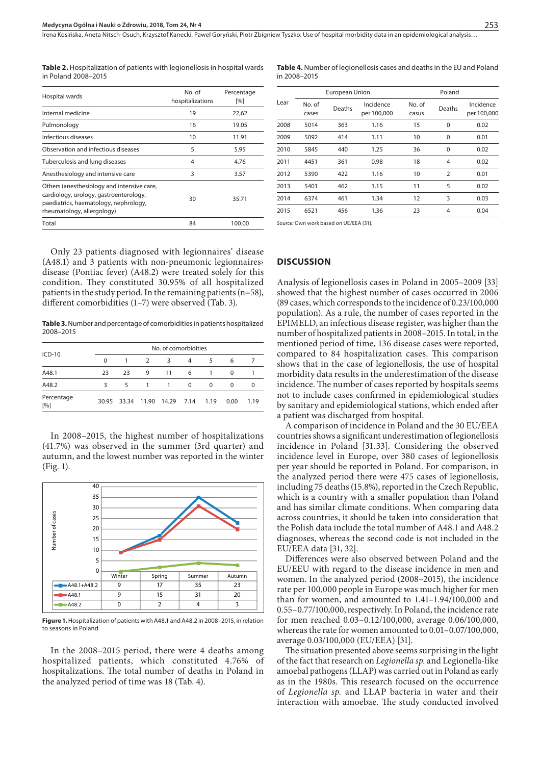Irena Kosińska, Aneta Nitsch-Osuch, Krzysztof Kanecki, Paweł Goryński, Piotr Zbigniew Tyszko. Use of hospital morbidity data in an epidemiological analysis..

**Table 2.** Hospitalization of patients with legionellosis in hospital wards in Poland 2008–2015

| Hospital wards                                                                                                                                              | No. of<br>hospitalizations | Percentage<br>[%] |  |
|-------------------------------------------------------------------------------------------------------------------------------------------------------------|----------------------------|-------------------|--|
| Internal medicine                                                                                                                                           | 19                         | 22,62             |  |
| Pulmonology                                                                                                                                                 | 16                         | 19.05             |  |
| Infectious diseases                                                                                                                                         | 10                         | 11.91             |  |
| Observation and infectious diseases                                                                                                                         | 5                          | 5.95              |  |
| Tuberculosis and lung diseases                                                                                                                              | 4                          | 4.76              |  |
| Anesthesiology and intensive care                                                                                                                           | 3                          | 3.57              |  |
| Others (anesthesiology and intensive care,<br>cardiology, urology, gastroenterology,<br>paediatrics, haematology, nephrology,<br>rheumatology, allergology) | 30                         | 35.71             |  |
| Total                                                                                                                                                       | 84                         | 100.00            |  |

Only 23 patients diagnosed with legionnaires' disease (A48.1) and 3 patients with non-pneumonic legionnaires› disease (Pontiac fever) (A48.2) were treated solely for this condition. They constituted 30.95% of all hospitalized patients in the study period. In the remaining patients (n=58), different comorbidities (1–7) were observed (Tab. 3).

**Table 3.** Number and percentage of comorbidities in patients hospitalized 2008–2015

| $ICD-10$          |          | No. of comorbidities |                |                                   |          |          |      |      |
|-------------------|----------|----------------------|----------------|-----------------------------------|----------|----------|------|------|
|                   | $\Omega$ |                      | 2              | 3                                 | 4        | 5        | 6    |      |
| A48.1             | 23       | 23                   | 9              | 11                                | 6        | 1        | 0    |      |
| A48.2             | 3        | 5                    | $\overline{1}$ | 1                                 | $\Omega$ | $\Omega$ | 0    | 0    |
| Percentage<br>[%] |          |                      |                | 30.95 33.34 11.90 14.29 7.14 1.19 |          |          | 0.00 | 1.19 |

In 2008–2015, the highest number of hospitalizations (41.7%) was observed in the summer (3rd quarter) and autumn, and the lowest number was reported in the winter (Fig. 1).



**Figure 1.** Hospitalization of patients with A48.1 and A48.2 in 2008–2015, in relation to seasons in Poland

In the 2008–2015 period, there were 4 deaths among hospitalized patients, which constituted 4.76% of hospitalizations. The total number of deaths in Poland in the analyzed period of time was 18 (Tab. 4).

**Table 4.** Number of legionellosis cases and deaths in the EU and Poland in 2008–2015

| Lear | European Union  |        |                          | Poland          |                |                          |
|------|-----------------|--------|--------------------------|-----------------|----------------|--------------------------|
|      | No. of<br>cases | Deaths | Incidence<br>per 100,000 | No. of<br>casus | Deaths         | Incidence<br>per 100,000 |
| 2008 | 5014            | 363    | 1.16                     | 15              | $\mathbf 0$    | 0.02                     |
| 2009 | 5092            | 414    | 1.11                     | 10              | $\mathbf 0$    | 0.01                     |
| 2010 | 5845            | 440    | 1.25                     | 36              | $\mathbf 0$    | 0.02                     |
| 2011 | 4451            | 361    | 0.98                     | 18              | 4              | 0.02                     |
| 2012 | 5390            | 422    | 1.16                     | 10              | $\overline{2}$ | 0.01                     |
| 2013 | 5401            | 462    | 1.15                     | 11              | 5              | 0.02                     |
| 2014 | 6374            | 461    | 1.34                     | 12              | 3              | 0.03                     |
| 2015 | 6521            | 456    | 1.36                     | 23              | 4              | 0.04                     |
|      |                 |        |                          |                 |                |                          |

*Source:* Own work based on UE/EEA [31].

#### **DISCUSSION**

Analysis of legionellosis cases in Poland in 2005–2009 [33] showed that the highest number of cases occurred in 2006 (89 cases, which corresponds to the incidence of 0.23/100,000 population). As a rule, the number of cases reported in the EPIMELD, an infectious disease register, was higher than the number of hospitalized patients in 2008–2015. In total, in the mentioned period of time, 136 disease cases were reported, compared to 84 hospitalization cases. This comparison shows that in the case of legionellosis, the use of hospital morbidity data results in the underestimation of the disease incidence. The number of cases reported by hospitals seems not to include cases confirmed in epidemiological studies by sanitary and epidemiological stations, which ended after a patient was discharged from hospital.

A comparison of incidence in Poland and the 30 EU/EEA countries shows a significant underestimation of legionellosis incidence in Poland [31.33]. Considering the observed incidence level in Europe, over 380 cases of legionellosis per year should be reported in Poland. For comparison, in the analyzed period there were 475 cases of legionellosis, including 75 deaths (15.8%), reported in the Czech Republic, which is a country with a smaller population than Poland and has similar climate conditions. When comparing data across countries, it should be taken into consideration that the Polish data include the total number of A48.1 and A48.2 diagnoses, whereas the second code is not included in the EU/EEA data [31, 32].

Differences were also observed between Poland and the EU/EEU with regard to the disease incidence in men and women. In the analyzed period (2008–2015), the incidence rate per 100,000 people in Europe was much higher for men than for women, and amounted to 1.41–1.94/100,000 and 0.55–0.77/100,000, respectively. In Poland, the incidence rate for men reached 0.03–0.12/100,000, average 0.06/100,000, whereas the rate for women amounted to 0.01–0.07/100,000, average 0.03/100,000 (EU/EEA) [31].

The situation presented above seems surprising in the light of the fact that research on *Legionella sp.* and Legionella-like amoebal pathogens (LLAP) was carried out in Poland as early as in the 1980s. This research focused on the occurrence of *Legionella sp.* and LLAP bacteria in water and their interaction with amoebae. The study conducted involved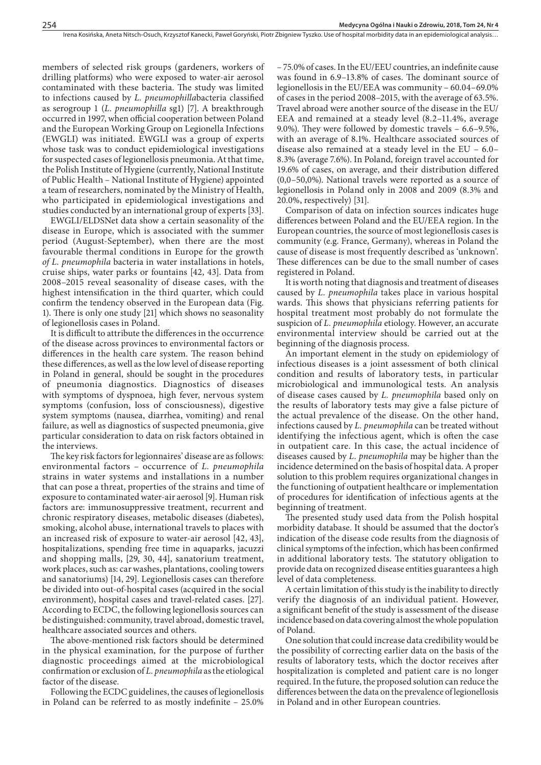members of selected risk groups (gardeners, workers of drilling platforms) who were exposed to water-air aerosol contaminated with these bacteria. The study was limited to infections caused by *L. pneumophilla*bacteria classified as serogroup 1 (*L. pneumophilla* sg1) [7]. A breakthrough occurred in 1997, when official cooperation between Poland and the European Working Group on Legionella Infections (EWGLI) was initiated. EWGLI was a group of experts whose task was to conduct epidemiological investigations for suspected cases of legionellosis pneumonia. At that time, the Polish Institute of Hygiene (currently, National Institute of Public Health – National Institute of Hygiene) appointed a team of researchers, nominated by the Ministry of Health, who participated in epidemiological investigations and studies conducted by an international group of experts [33].

EWGLI/ELDSNet data show a certain seasonality of the disease in Europe, which is associated with the summer period (August-September), when there are the most favourable thermal conditions in Europe for the growth *of L. pneumophila* bacteria in water installations in hotels, cruise ships, water parks or fountains [42, 43]. Data from 2008–2015 reveal seasonality of disease cases, with the highest intensification in the third quarter, which could confirm the tendency observed in the European data (Fig. 1). There is only one study [21] which shows no seasonality of legionellosis cases in Poland.

It is difficult to attribute the differences in the occurrence of the disease across provinces to environmental factors or differences in the health care system. The reason behind these differences, as well as the low level of disease reporting in Poland in general, should be sought in the procedures of pneumonia diagnostics. Diagnostics of diseases with symptoms of dyspnoea, high fever, nervous system symptoms (confusion, loss of consciousness), digestive system symptoms (nausea, diarrhea, vomiting) and renal failure, as well as diagnostics of suspected pneumonia, give particular consideration to data on risk factors obtained in the interviews.

The key risk factors for legionnaires' disease are as follows: environmental factors – occurrence of *L. pneumophila* strains in water systems and installations in a number that can pose a threat, properties of the strains and time of exposure to contaminated water-air aerosol [9]. Human risk factors are: immunosuppressive treatment, recurrent and chronic respiratory diseases, metabolic diseases (diabetes), smoking, alcohol abuse, international travels to places with an increased risk of exposure to water-air aerosol [42, 43], hospitalizations, spending free time in aquaparks, jacuzzi and shopping malls, [29, 30, 44], sanatorium treatment, work places, such as: car washes, plantations, cooling towers and sanatoriums) [14, 29]. Legionellosis cases can therefore be divided into out-of-hospital cases (acquired in the social environment), hospital cases and travel-related cases. [27]. According to ECDC, the following legionellosis sources can be distinguished: community, travel abroad, domestic travel, healthcare associated sources and others.

The above-mentioned risk factors should be determined in the physical examination, for the purpose of further diagnostic proceedings aimed at the microbiological confirmation or exclusion of *L. pneumophila* as the etiological factor of the disease.

Following the ECDC guidelines, the causes of legionellosis in Poland can be referred to as mostly indefinite – 25.0%

– 75.0% of cases. In the EU/EEU countries, an indefinite cause was found in 6.9–13.8% of cases. The dominant source of legionellosis in the EU/EEA was community – 60.04–69.0% of cases in the period 2008–2015, with the average of 63.5%. Travel abroad were another source of the disease in the EU/ EEA and remained at a steady level (8.2–11.4%, average 9.0%). They were followed by domestic travels – 6.6–9.5%, with an average of 8.1%. Healthcare associated sources of disease also remained at a steady level in the EU – 6.0– 8.3% (average 7.6%). In Poland, foreign travel accounted for 19.6% of cases, on average, and their distribution differed (0,0–50,0%). National travels were reported as a source of legionellosis in Poland only in 2008 and 2009 (8.3% and 20.0%, respectively) [31].

Comparison of data on infection sources indicates huge differences between Poland and the EU/EEA region. In the European countries, the source of most legionellosis cases is community (e.g. France, Germany), whereas in Poland the cause of disease is most frequently described as 'unknown'. These differences can be due to the small number of cases registered in Poland.

It is worth noting that diagnosis and treatment of diseases caused by *L. pneumophila* takes place in various hospital wards. This shows that physicians referring patients for hospital treatment most probably do not formulate the suspicion of *L. pneumophila* etiology. However, an accurate environmental interview should be carried out at the beginning of the diagnosis process.

An important element in the study on epidemiology of infectious diseases is a joint assessment of both clinical condition and results of laboratory tests, in particular microbiological and immunological tests. An analysis of disease cases caused by *L. pneumophila* based only on the results of laboratory tests may give a false picture of the actual prevalence of the disease. On the other hand, infections caused by *L. pneumophila* can be treated without identifying the infectious agent, which is often the case in outpatient care. In this case, the actual incidence of diseases caused by *L. pneumophila* may be higher than the incidence determined on the basis of hospital data. A proper solution to this problem requires organizational changes in the functioning of outpatient healthcare or implementation of procedures for identification of infectious agents at the beginning of treatment.

The presented study used data from the Polish hospital morbidity database. It should be assumed that the doctor's indication of the disease code results from the diagnosis of clinical symptoms of the infection, which has been confirmed in additional laboratory tests. The statutory obligation to provide data on recognized disease entities guarantees a high level of data completeness.

A certain limitation of this study is the inability to directly verify the diagnosis of an individual patient. However, a significant benefit of the study is assessment of the disease incidence based on data covering almost the whole population of Poland.

One solution that could increase data credibility would be the possibility of correcting earlier data on the basis of the results of laboratory tests, which the doctor receives after hospitalization is completed and patient care is no longer required. In the future, the proposed solution can reduce the differences between the data on the prevalence of legionellosis in Poland and in other European countries.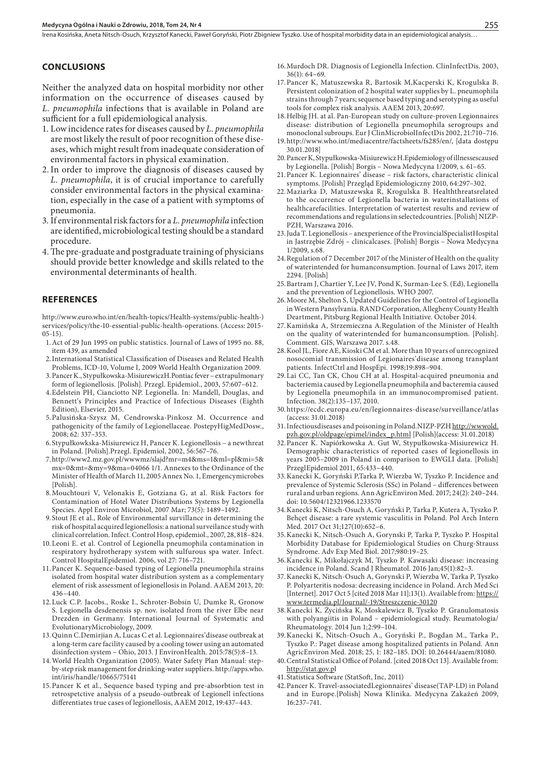Irena Kosińska, Aneta Nitsch-Osuch, Krzysztof Kanecki, Paweł Goryński, Piotr Zbigniew Tyszko. Use of hospital morbidity data in an epidemiological analysis..

#### **CONCLUSIONS**

Neither the analyzed data on hospital morbidity nor other information on the occurrence of diseases caused by *L. pneumophila* infections that is available in Poland are sufficient for a full epidemiological analysis.

- 1. Low incidence rates for diseases caused by *L. pneumophila* are most likely the result of poor recognition of these diseases, which might result from inadequate consideration of environmental factors in physical examination.
- 2.In order to improve the diagnosis of diseases caused by *L. pneumophila*, it is of crucial importance to carefully consider environmental factors in the physical examination, especially in the case of a patient with symptoms of pneumonia.
- 3. If environmental risk factors for a *L. pneumophila* infection are identified, microbiological testing should be a standard procedure.
- 4.The pre-graduate and postgraduate training of physicians should provide better knowledge and skills related to the environmental determinants of health.

#### **REFERENCES**

[http://www.euro.who.int/en/health-topics/Health-systems/public-health-\)](http://www.euro.who.int/en/health-topics/Health-systems/public-health-) services/policy/the-10-essential-public-health-operations. (Access: 2015- 05-15).

- 1.Act of 29 Jun 1995 on public statistics. Journal of Laws of 1995 no. 88, item 439, as amended
- 2.International Statistical Classification of Diseases and Related Health Problems, ICD-10, Volume I, 2009 World Health Organization 2009.
- 3.Pancer K., Stypułkowska-MisiurewiczH.Pontiac fever extrapulmonary form of legionellosis. [Polish]. Przegl. Epidemiol., 2003, 57:607–612.
- 4.Edelstein PH, Cianciotto NP. Legionella. In: Mandell, Douglas, and Bennett's Principles and Practice of Infectious Diseases (Eighth Edition), Elsevier, 2015.
- 5.Palusińska-Szysz M, Cendrowska-Pinkosz M. Occurrence and pathogenicity of the family of Legionellaceae. PostepyHigMedDosw., 2008; 62: 337–353.
- 6.Stypułkowkska-Misiurewicz H, Pancer K. Legionellosis a newthreat in Poland. [Polish].Przegl. Epidemiol, 2002, 56:567–76.
- 7.http://www2.mz.gov.pl/wwwmz/slajd?mr=m4&ms=1&ml=pl&mi=5& mx=0&mt=&my=9&ma=04066 1/1. Annexes to the Ordinance of the Minister of Health of March 11, 2005 Annex No. 1, Emergencymicrobes [Polish].
- 8.Mouchtouri V, Velonakis E, Gotziana G, at al. Risk Factors for Contamination of Hotel Water Distributions Systems by Legionella Species. Appl Environ Microbiol, 2007 Mar; 73(5): 1489–1492.
- 9.Stout JE et al., Role of Environmental survillance in determining the risk of hospital acquired legionellosis: a national surveilance study with clinical correlation. Infect. Control Hosp, epidemiol., 2007, 28, 818–824.
- 10.Leoni E. et al. Control of Legionella pneumophila contamination in respiratory hydrotherapy system with sulfurous spa water. Infect. Control HospitalEpidemiol. 2006, vol 27: 716–721.
- 11.Pancer K. Sequence-based typing of Legionella pneumophila strains isolated from hospital water distribution system as a complementary element of risk assessment of legionellosis in Poland. AAEM 2013, 20: 436–440.
- 12.Luck C.P. Jacobs., Roske I., Schroter-Bobsin U, Dumke R, Gronow S. Legionella desdenensis sp. nov. isolated from the river Elbe near Drezden in Germany. International Journal of Systematic and EvolutionaryMicrobiology, 2009.
- 13.Quinn C.Demirjian A, Lucas C et al. Legionnaires'disease outbreak at a long-term care facility caused by a cooling tower using an automated disinfection system – Ohio, 2013. J EnvironHealth. 2015:78(5):8–13.
- 14.World Health Organization (2005). Water Safety Plan Manual: stepby-step risk management for drinking-water suppliers. http://apps.who. int/iris/handle/10665/75141
- 15.Pancer K et al., Sequence based typing and pre-absorbtion test in retrospetctive analysis of a pseudo-outbreak of Legionell infections differentiates true cases of legionellosis, AAEM 2012, 19:437–443.
- 16.Murdoch DR. Diagnosis of Legionella Infection. ClinInfectDis. 2003, 36(1): 64–69.
- 17.Pancer K, Matuszewska R, Bartosik M,Kacperski K, Krogulska B. Persistent colonization of 2 hospital water supplies by L. pneumophila strains through 7 years; sequence based typing and serotyping as useful tools for complex risk analysis. AAEM 2013, 20:697.
- 18.Helbig JH. at al. Pan-European study on culture-proven Legionnaires disease: distribution of Legionella pneumophila serogroups and monoclonal subroups. Eur J ClinMicrobiolInfectDis 2002, 21:710–716.
- 19.http://www.who.int/mediacentre/factsheets/fs285/en/, [data dostępu 30.01.2018]
- 20.Pancer K, Stypułkowska-Misiurewicz H.Epidemiology of illnessescaused by Legionella. [Polish] Borgis – Nowa Medycyna 1/2009, s. 61–65.
- 21.Pancer K. Legionnaires' disease risk factors, characteristic clinical symptoms. [Polish] Przegląd Epidemiologiczny 2010, 64:297–302.
- 22.Maziarka D, Matuszewska R, Krogulska B. Healththreatsrelated to the occurrence of Legionella bacteria in waterinstallations of healthcarefacilities. Interpretation of watertest results and review of recommendations and regulations in selectedcountries. [Polish] NIZP-PZH, Warszawa 2016.
- 23.Juda T. Legionellosis anexperience of the ProvincialSpecialistHospital in Jastrzębie Zdrój – clinicalcases. [Polish] Borgis – Nowa Medycyna 1/2009, s.68.
- 24.Regulation of 7 December 2017 of the Minister of Health on the quality of waterintended for humanconsumption. Journal of Laws 2017, item 2294. [Polish]
- 25.Bartram J, Chartier Y, Lee JV, Pond K, Surman-Lee S. (Ed), Legionella and the prevention of Legionellosis. WHO 2007.
- 26.Moore M, Shelton S, Updated Guidelines for the Control of Legionella in Western Pansylvania. RAND Corporation, Allegheny County Health Deartment, Pitsburg Regional Health Initiative. October 2014.
- 27.Kamińska A, Strzemieczna A.Regulation of the Minister of Health on the quality of waterintended for humanconsumption. [Polish]. Comment. GIS, Warszawa 2017. s.48.
- 28.Kool JL, Fiore AE, Kioski CM et al. More than 10 years of unrecognized nosocomial transmission of Legionaires'disease among transplant patients. InfectCtrl and HospEpi. 1998;19:898–904.
- 29.Lai CC, Tan CK, Chou CH at al. Hospital-acquired pneumonia and bacteriemia caused by Legionella pneumophila and bacteremia caused by Legionella pneumophila in an immunocompromised patient. Infection. 38(2):135–137, 2010.
- 30.https://ecdc.europa.eu/en/legionnaires-disease/surveillance/atlas (access: 31.01.2018)
- 31.Infectiousdiseases and poisoning in Poland.NIZP-PZH [http://wwwold.](http://wwwold.pzh.gov.pl/oldpage/epimel/index_p.html) [pzh.gov.pl/oldpage/epimel/index\\_p.html](http://wwwold.pzh.gov.pl/oldpage/epimel/index_p.html) [Polish](access: 31.01.2018)
- 32.Pancer K. Napiórkowska A. Gut W, Stypułkowska-Misiurewicz H. Demographic characteristics of reported cases of legionellosis in years 2005–2009 in Poland in comparison to EWGLI data. [Polish] PrzeglEpidemiol 2011, 65:433–440.
- 33.Kanecki K, Goryński P,Tarka P, Wierzba W, Tyszko P. Incidence and prevalence of Systemic Sclerosis (SSc) in Poland – differences between rural and urban regions. Ann AgricEnviron Med. 2017; 24(2): 240–244. doi: 10.5604/12321966.1233570
- 34.Kanecki K, Nitsch-Osuch A, Goryński P, Tarka P, Kutera A, Tyszko P. Behçet disease: a rare systemic vasculitis in Poland. Pol Arch Intern Med. 2017 Oct 31;127(10):652–6.
- 35.Kanecki K, Nitsch-Osuch A, Gorynski P, Tarka P, Tyszko P. Hospital Morbidity Database for Epidemiological Studies on Churg-Strauss Syndrome. Adv Exp Med Biol. 2017;980:19–25.
- 36.Kanecki K, Mikołajczyk M, Tyszko P. Kawasaki disease: increasing incidence in Poland. Scand J Rheumatol. 2016 Jan;45(1):82–3.
- 37.Kanecki K, Nitsch-Osuch A, Gorynski P, Wierzba W, Tarka P, Tyszko P. Polyarteritis nodosa: decreasing incidence in Poland. Arch Med Sci [Internet]. 2017 Oct 5 [cited 2018 Mar 11];13(1). Available from: [https://](https://www.termedia.pl/Journal/-19/Streszczenie-30120) [www.termedia.pl/Journal/-19/Streszczenie-30120](https://www.termedia.pl/Journal/-19/Streszczenie-30120)
- 38.Kanecki K, Życińska K, Moskalewicz B, Tyszko P. Granulomatosis with polyangiitis in Poland – epidemiological study. Reumatologia/ Rheumatology. 2014 Jun 1;2:99–104.
- 39.Kanecki K, Nitsch-Osuch A., Goryński P., Bogdan M., Tarka P., Tyszko P.: Paget disease among hospitalized patients in Poland. Ann AgricEnviron Med. 2018; 25, 1: 182–185. DOI: 10.26444/aaem/81080.
- 40.Central Statistical Office of Poland. [cited 2018 Oct 13]. Available from: [http://stat.gov.p](http://stat.gov.p/)l
- 41.Statistica Software (StatSoft, Inc, 2011)
- 42.Pancer K. Travel-associatedLegionnaires' disease(TAP-LD) in Poland and in Europe.[Polish] Nowa Klinika. Medycyna Zakażeń 2009, 16:237–741.